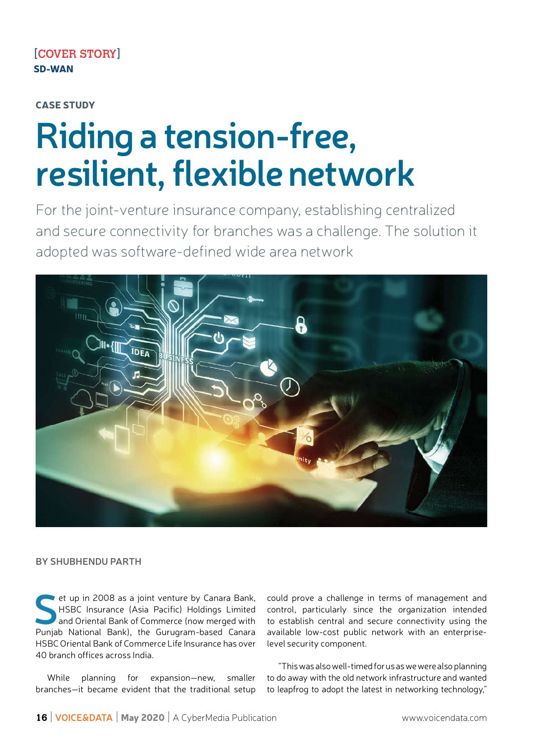# CASE STUDY

# Riding a tension-free, resilient, flexible network

For the joint-venture insurance company, establishing centralized and secure connecivity for branches was a challenge. The soluion it adopted was software-defined wide area network



## BY SHUBHENDU PARTH

et up in 2008 as a joint venture by Canara Bank,<br>
HSBC Insurance (Asia Pacific) Holdings Limited<br>
and Oriental Bank of Commerce (now merged with HSBC Insurance (Asia Pacific) Holdings Limited Punjab National Bank), the Gurugram-based Canara HSBC Oriental Bank of Commerce Life Insurance has over 40 branch offices across India.

While planning for expansion—new, smaller branches-it became evident that the traditional setup could prove a challenge in terms of management and control, particularly since the organization intended to establish central and secure connecivity using the available low-cost public network with an enterpriselevel security component.

"This was also well-imed for us as we were also planning to do away with the old network infrastructure and wanted to leapfrog to adopt the latest in networking technology,"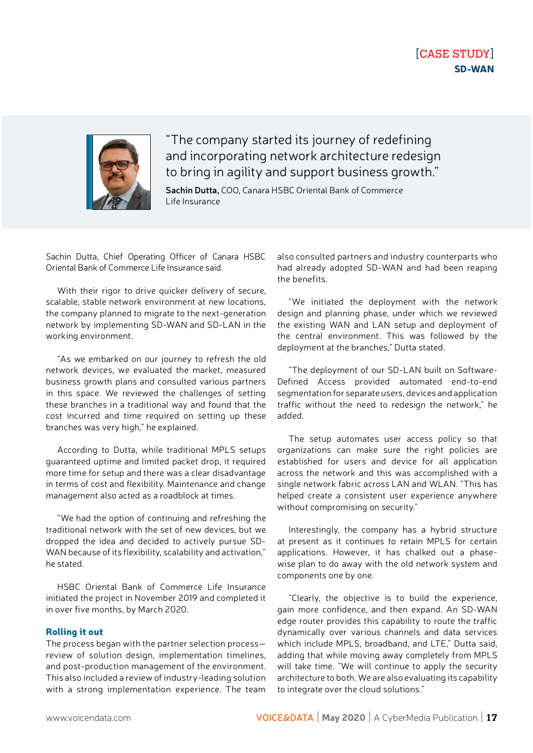# [CASE STUDY] SD-WAN



"The company started its journey of redeining and incorporating network architecture redesign to bring in agility and support business growth."

Sachin Dutta, COO, Canara HSBC Oriental Bank of Commerce Life Insurance

Sachin Dutta, Chief Operating Officer of Canara HSBC Oriental Bank of Commerce Life Insurance said.

With their rigor to drive quicker delivery of secure, scalable, stable network environment at new locations. the company planned to migrate to the next-generaion network by implemening SD-WAN and SD-LAN in the working environment.

"As we embarked on our journey to refresh the old network devices, we evaluated the market, measured business growth plans and consulted various partners in this space. We reviewed the challenges of setting these branches in a tradiional way and found that the cost incurred and time required on setting up these branches was very high," he explained.

According to Dutta, while traditional MPLS setups guaranteed upime and limited packet drop, it required more ime for setup and there was a clear disadvantage in terms of cost and flexibility. Maintenance and change management also acted as a roadblock at imes.

"We had the opion of coninuing and refreshing the traditional network with the set of new devices, but we dropped the idea and decided to actively pursue SD-WAN because of its flexibility, scalability and activation," he stated.

HSBC Oriental Bank of Commerce Life Insurance initiated the project in November 2019 and completed it in over five months, by March 2020.

#### Rolling it out

The process began with the partner selection process review of solution design, implementation timelines, and post-production management of the environment. This also included a review of industry-leading solution with a strong implementation experience. The team also consulted partners and industry counterparts who had already adopted SD-WAN and had been reaping the benefits.

"We initiated the deployment with the network design and planning phase, under which we reviewed the exising WAN and LAN setup and deployment of the central environment. This was followed by the deployment at the branches," Dutta stated.

"The deployment of our SD-LAN built on Sotware-Defined Access provided automated end-to-end segmentation for separate users, devices and application traffic without the need to redesign the network," he added.

The setup automates user access policy so that organizations can make sure the right policies are established for users and device for all application across the network and this was accomplished with a single network fabric across LAN and WLAN. "This has helped create a consistent user experience anywhere without compromising on security."

Interesingly, the company has a hybrid structure at present as it continues to retain MPLS for certain applications. However, it has chalked out a phasewise plan to do away with the old network system and components one by one.

"Clearly, the objecive is to build the experience, gain more confidence, and then expand. An SD-WAN edge router provides this capability to route the traffic dynamically over various channels and data services which include MPLS, broadband, and LTE," Dutta said, adding that while moving away completely from MPLS will take time. "We will continue to apply the security architecture to both. We are also evaluating its capability to integrate over the cloud solutions."